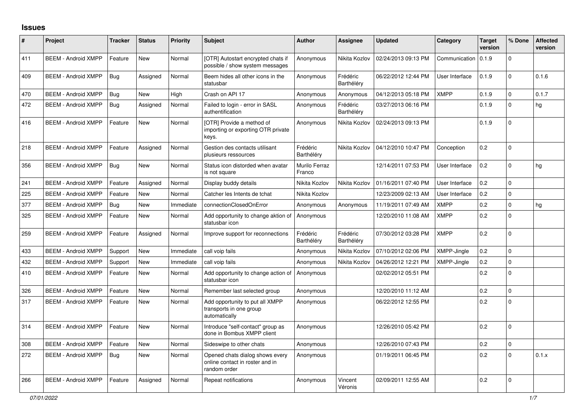## **Issues**

| #   | Project                    | <b>Tracker</b> | <b>Status</b> | <b>Priority</b> | <b>Subject</b>                                                                     | <b>Author</b>           | <b>Assignee</b>        | <b>Updated</b>      | Category       | Target<br>version | % Done       | <b>Affected</b><br>version |
|-----|----------------------------|----------------|---------------|-----------------|------------------------------------------------------------------------------------|-------------------------|------------------------|---------------------|----------------|-------------------|--------------|----------------------------|
| 411 | <b>BEEM - Android XMPP</b> | Feature        | <b>New</b>    | Normal          | [OTR] Autostart encrypted chats if<br>possible / show system messages              | Anonymous               | Nikita Kozlov          | 02/24/2013 09:13 PM | Communication  | 0.1.9             | $\Omega$     |                            |
| 409 | <b>BEEM - Android XMPP</b> | Bug            | Assigned      | Normal          | Beem hides all other icons in the<br>statusbar                                     | Anonymous               | Frédéric<br>Barthéléry | 06/22/2012 12:44 PM | User Interface | 0.1.9             | $\Omega$     | 0.1.6                      |
| 470 | <b>BEEM - Android XMPP</b> | Bug            | New           | High            | Crash on API 17                                                                    | Anonymous               | Anonymous              | 04/12/2013 05:18 PM | <b>XMPP</b>    | 0.1.9             | $\mathbf 0$  | 0.1.7                      |
| 472 | <b>BEEM - Android XMPP</b> | Bug            | Assigned      | Normal          | Failed to login - error in SASL<br>authentification                                | Anonymous               | Frédéric<br>Barthéléry | 03/27/2013 06:16 PM |                | 0.1.9             | $\mathbf{0}$ | hg                         |
| 416 | <b>BEEM - Android XMPP</b> | Feature        | <b>New</b>    | Normal          | [OTR] Provide a method of<br>importing or exporting OTR private<br>keys.           | Anonymous               | Nikita Kozlov          | 02/24/2013 09:13 PM |                | 0.1.9             | $\Omega$     |                            |
| 218 | <b>BEEM - Android XMPP</b> | Feature        | Assigned      | Normal          | Gestion des contacts utilisant<br>plusieurs ressources                             | Frédéric<br>Barthéléry  | Nikita Kozlov          | 04/12/2010 10:47 PM | Conception     | 0.2               | $\Omega$     |                            |
| 356 | <b>BEEM - Android XMPP</b> | Bug            | New           | Normal          | Status icon distorded when avatar<br>is not square                                 | Murilo Ferraz<br>Franco |                        | 12/14/2011 07:53 PM | User Interface | 0.2               | $\Omega$     | hg                         |
| 241 | <b>BEEM - Android XMPP</b> | Feature        | Assigned      | Normal          | Display buddy details                                                              | Nikita Kozlov           | Nikita Kozlov          | 01/16/2011 07:40 PM | User Interface | 0.2               | $\Omega$     |                            |
| 225 | <b>BEEM - Android XMPP</b> | Feature        | <b>New</b>    | Normal          | Catcher les Intents de tchat                                                       | Nikita Kozlov           |                        | 12/23/2009 02:13 AM | User Interface | 0.2               | $\mathbf 0$  |                            |
| 377 | <b>BEEM - Android XMPP</b> | <b>Bug</b>     | <b>New</b>    | Immediate       | connectionClosedOnError                                                            | Anonymous               | Anonymous              | 11/19/2011 07:49 AM | <b>XMPP</b>    | 0.2               | $\Omega$     | hg                         |
| 325 | <b>BEEM - Android XMPP</b> | Feature        | New           | Normal          | Add opportunity to change aktion of<br>statusbar icon                              | Anonymous               |                        | 12/20/2010 11:08 AM | <b>XMPP</b>    | 0.2               | $\Omega$     |                            |
| 259 | <b>BEEM - Android XMPP</b> | Feature        | Assigned      | Normal          | Improve support for reconnections                                                  | Frédéric<br>Barthéléry  | Frédéric<br>Barthéléry | 07/30/2012 03:28 PM | <b>XMPP</b>    | 0.2               | $\Omega$     |                            |
| 433 | <b>BEEM - Android XMPP</b> | Support        | <b>New</b>    | Immediate       | call voip fails                                                                    | Anonymous               | Nikita Kozlov          | 07/10/2012 02:06 PM | XMPP-Jingle    | 0.2               | $\Omega$     |                            |
| 432 | <b>BEEM - Android XMPP</b> | Support        | New           | Immediate       | call voip fails                                                                    | Anonymous               | Nikita Kozlov          | 04/26/2012 12:21 PM | XMPP-Jingle    | 0.2               | $\Omega$     |                            |
| 410 | <b>BEEM - Android XMPP</b> | Feature        | New           | Normal          | Add opportunity to change action of<br>statusbar icon                              | Anonymous               |                        | 02/02/2012 05:51 PM |                | 0.2               | $\mathbf 0$  |                            |
| 326 | <b>BEEM - Android XMPP</b> | Feature        | <b>New</b>    | Normal          | Remember last selected group                                                       | Anonymous               |                        | 12/20/2010 11:12 AM |                | 0.2               | $\mathbf 0$  |                            |
| 317 | <b>BEEM - Android XMPP</b> | Feature        | <b>New</b>    | Normal          | Add opportunity to put all XMPP<br>transports in one group<br>automatically        | Anonymous               |                        | 06/22/2012 12:55 PM |                | 0.2               | $\Omega$     |                            |
| 314 | <b>BEEM - Android XMPP</b> | Feature        | <b>New</b>    | Normal          | Introduce "self-contact" group as<br>done in Bombus XMPP client                    | Anonymous               |                        | 12/26/2010 05:42 PM |                | 0.2               | $\Omega$     |                            |
| 308 | <b>BEEM - Android XMPP</b> | Feature        | New           | Normal          | Sideswipe to other chats                                                           | Anonymous               |                        | 12/26/2010 07:43 PM |                | 0.2               | $\Omega$     |                            |
| 272 | <b>BEEM - Android XMPP</b> | Bug            | New           | Normal          | Opened chats dialog shows every<br>online contact in roster and in<br>random order | Anonymous               |                        | 01/19/2011 06:45 PM |                | 0.2               | $\Omega$     | 0.1.x                      |
| 266 | <b>BEEM - Android XMPP</b> | Feature        | Assigned      | Normal          | Repeat notifications                                                               | Anonymous               | Vincent<br>Véronis     | 02/09/2011 12:55 AM |                | 0.2               | $\Omega$     |                            |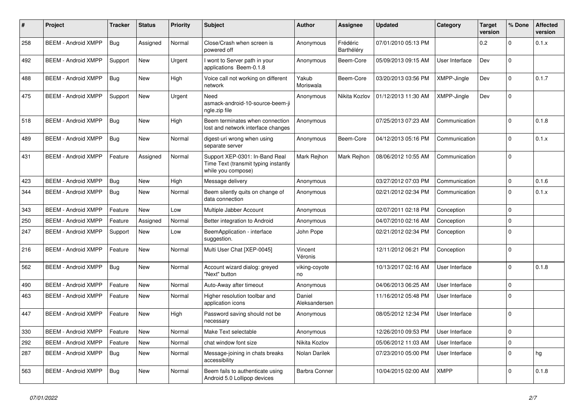| #   | Project                    | <b>Tracker</b> | <b>Status</b> | <b>Priority</b> | <b>Subject</b>                                                                               | <b>Author</b>           | <b>Assignee</b>        | <b>Updated</b>      | Category       | Target<br>version | % Done      | <b>Affected</b><br>version |
|-----|----------------------------|----------------|---------------|-----------------|----------------------------------------------------------------------------------------------|-------------------------|------------------------|---------------------|----------------|-------------------|-------------|----------------------------|
| 258 | <b>BEEM - Android XMPP</b> | Bug            | Assigned      | Normal          | Close/Crash when screen is<br>powered off                                                    | Anonymous               | Frédéric<br>Barthéléry | 07/01/2010 05:13 PM |                | 0.2               | $\mathbf 0$ | 0.1.x                      |
| 492 | <b>BEEM - Android XMPP</b> | Support        | <b>New</b>    | Urgent          | I wont to Server path in your<br>applications Beem-0.1.8                                     | Anonymous               | Beem-Core              | 05/09/2013 09:15 AM | User Interface | Dev               | $\mathbf 0$ |                            |
| 488 | <b>BEEM - Android XMPP</b> | Bug            | New           | High            | Voice call not working on different<br>network                                               | Yakub<br>Moriswala      | Beem-Core              | 03/20/2013 03:56 PM | XMPP-Jingle    | Dev               | $\Omega$    | 0.1.7                      |
| 475 | <b>BEEM - Android XMPP</b> | Support        | <b>New</b>    | Urgent          | Need<br>asmack-android-10-source-beem-ji<br>ngle.zip file                                    | Anonymous               | Nikita Kozlov          | 01/12/2013 11:30 AM | XMPP-Jingle    | Dev               | $\Omega$    |                            |
| 518 | <b>BEEM - Android XMPP</b> | Bug            | New           | High            | Beem terminates when connection<br>lost and network interface changes                        | Anonymous               |                        | 07/25/2013 07:23 AM | Communication  |                   | $\Omega$    | 0.1.8                      |
| 489 | <b>BEEM - Android XMPP</b> | Bug            | <b>New</b>    | Normal          | digest-uri wrong when using<br>separate server                                               | Anonymous               | Beem-Core              | 04/12/2013 05:16 PM | Communication  |                   | $\Omega$    | 0.1.x                      |
| 431 | <b>BEEM - Android XMPP</b> | Feature        | Assigned      | Normal          | Support XEP-0301: In-Band Real<br>Time Text (transmit typing instantly<br>while you compose) | Mark Rejhon             | Mark Rejhon            | 08/06/2012 10:55 AM | Communication  |                   | $\Omega$    |                            |
| 423 | <b>BEEM - Android XMPP</b> | Bug            | <b>New</b>    | High            | Message delivery                                                                             | Anonymous               |                        | 03/27/2012 07:03 PM | Communication  |                   | $\Omega$    | 0.1.6                      |
| 344 | <b>BEEM - Android XMPP</b> | Bug            | New           | Normal          | Beem silently quits on change of<br>data connection                                          | Anonymous               |                        | 02/21/2012 02:34 PM | Communication  |                   | $\Omega$    | 0.1.x                      |
| 343 | <b>BEEM - Android XMPP</b> | Feature        | New           | Low             | Multiple Jabber Account                                                                      | Anonymous               |                        | 02/07/2011 02:18 PM | Conception     |                   | $\mathbf 0$ |                            |
| 250 | <b>BEEM - Android XMPP</b> | Feature        | Assigned      | Normal          | Better integration to Android                                                                | Anonymous               |                        | 04/07/2010 02:16 AM | Conception     |                   | $\mathbf 0$ |                            |
| 247 | <b>BEEM - Android XMPP</b> | Support        | New           | Low             | BeemApplication - interface<br>suggestion.                                                   | John Pope               |                        | 02/21/2012 02:34 PM | Conception     |                   | $\mathbf 0$ |                            |
| 216 | <b>BEEM - Android XMPP</b> | Feature        | New           | Normal          | Multi User Chat [XEP-0045]                                                                   | Vincent<br>Véronis      |                        | 12/11/2012 06:21 PM | Conception     |                   | $\mathbf 0$ |                            |
| 562 | <b>BEEM - Android XMPP</b> | Bug            | <b>New</b>    | Normal          | Account wizard dialog: greyed<br>"Next" button                                               | viking-coyote<br>no     |                        | 10/13/2017 02:16 AM | User Interface |                   | $\Omega$    | 0.1.8                      |
| 490 | <b>BEEM - Android XMPP</b> | Feature        | <b>New</b>    | Normal          | Auto-Away after timeout                                                                      | Anonymous               |                        | 04/06/2013 06:25 AM | User Interface |                   | $\Omega$    |                            |
| 463 | <b>BEEM - Android XMPP</b> | Feature        | New           | Normal          | Higher resolution toolbar and<br>application icons                                           | Daniel<br>Aleksandersen |                        | 11/16/2012 05:48 PM | User Interface |                   | $\Omega$    |                            |
| 447 | <b>BEEM - Android XMPP</b> | Feature        | New           | High            | Password saving should not be<br>necessary                                                   | Anonymous               |                        | 08/05/2012 12:34 PM | User Interface |                   | $\Omega$    |                            |
| 330 | <b>BEEM - Android XMPP</b> | Feature        | <b>New</b>    | Normal          | Make Text selectable                                                                         | Anonymous               |                        | 12/26/2010 09:53 PM | User Interface |                   | $\mathbf 0$ |                            |
| 292 | <b>BEEM - Android XMPP</b> | Feature        | <b>New</b>    | Normal          | chat window font size                                                                        | Nikita Kozlov           |                        | 05/06/2012 11:03 AM | User Interface |                   | $\mathbf 0$ |                            |
| 287 | <b>BEEM - Android XMPP</b> | Bug            | <b>New</b>    | Normal          | Message-joining in chats breaks<br>accessibility                                             | Nolan Darilek           |                        | 07/23/2010 05:00 PM | User Interface |                   | $\mathbf 0$ | hg                         |
| 563 | <b>BEEM - Android XMPP</b> | Bug            | New           | Normal          | Beem fails to authenticate using<br>Android 5.0 Lollipop devices                             | <b>Barbra Conner</b>    |                        | 10/04/2015 02:00 AM | <b>XMPP</b>    |                   | $\Omega$    | 0.1.8                      |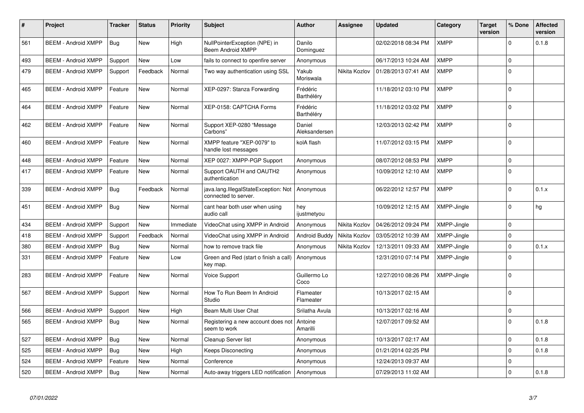| $\pmb{\#}$ | Project                    | <b>Tracker</b> | <b>Status</b> | <b>Priority</b> | <b>Subject</b>                                               | <b>Author</b>           | <b>Assignee</b> | <b>Updated</b>      | Category    | Target<br>version | % Done      | <b>Affected</b><br>version |
|------------|----------------------------|----------------|---------------|-----------------|--------------------------------------------------------------|-------------------------|-----------------|---------------------|-------------|-------------------|-------------|----------------------------|
| 561        | <b>BEEM - Android XMPP</b> | Bug            | <b>New</b>    | High            | NullPointerException (NPE) in<br>Beem Android XMPP           | Danilo<br>Dominguez     |                 | 02/02/2018 08:34 PM | <b>XMPP</b> |                   | $\mathbf 0$ | 0.1.8                      |
| 493        | <b>BEEM - Android XMPP</b> | Support        | <b>New</b>    | Low             | fails to connect to openfire server                          | Anonymous               |                 | 06/17/2013 10:24 AM | <b>XMPP</b> |                   | $\mathbf 0$ |                            |
| 479        | <b>BEEM - Android XMPP</b> | Support        | Feedback      | Normal          | Two way authentication using SSL                             | Yakub<br>Moriswala      | Nikita Kozlov   | 01/28/2013 07:41 AM | <b>XMPP</b> |                   | $\Omega$    |                            |
| 465        | <b>BEEM - Android XMPP</b> | Feature        | <b>New</b>    | Normal          | XEP-0297: Stanza Forwarding                                  | Frédéric<br>Barthéléry  |                 | 11/18/2012 03:10 PM | <b>XMPP</b> |                   | $\Omega$    |                            |
| 464        | <b>BEEM - Android XMPP</b> | Feature        | <b>New</b>    | Normal          | XEP-0158: CAPTCHA Forms                                      | Frédéric<br>Barthéléry  |                 | 11/18/2012 03:02 PM | <b>XMPP</b> |                   | $\mathbf 0$ |                            |
| 462        | <b>BEEM - Android XMPP</b> | Feature        | <b>New</b>    | Normal          | Support XEP-0280 "Message<br>Carbons"                        | Daniel<br>Aleksandersen |                 | 12/03/2013 02:42 PM | <b>XMPP</b> |                   | $\Omega$    |                            |
| 460        | <b>BEEM - Android XMPP</b> | Feature        | <b>New</b>    | Normal          | XMPP feature "XEP-0079" to<br>handle lost messages           | kolA flash              |                 | 11/07/2012 03:15 PM | <b>XMPP</b> |                   | $\Omega$    |                            |
| 448        | <b>BEEM - Android XMPP</b> | Feature        | New           | Normal          | XEP 0027: XMPP-PGP Support                                   | Anonymous               |                 | 08/07/2012 08:53 PM | <b>XMPP</b> |                   | $\mathbf 0$ |                            |
| 417        | <b>BEEM - Android XMPP</b> | Feature        | New           | Normal          | Support OAUTH and OAUTH2<br>authentication                   | Anonymous               |                 | 10/09/2012 12:10 AM | <b>XMPP</b> |                   | $\Omega$    |                            |
| 339        | <b>BEEM - Android XMPP</b> | Bug            | Feedback      | Normal          | java.lang.IllegalStateException: Not<br>connected to server. | Anonymous               |                 | 06/22/2012 12:57 PM | <b>XMPP</b> |                   | $\Omega$    | 0.1.x                      |
| 451        | <b>BEEM - Android XMPP</b> | Bug            | <b>New</b>    | Normal          | cant hear both user when using<br>audio call                 | hey<br>ijustmetyou      |                 | 10/09/2012 12:15 AM | XMPP-Jingle |                   | $\Omega$    | hg                         |
| 434        | <b>BEEM - Android XMPP</b> | Support        | New           | Immediate       | VideoChat using XMPP in Android                              | Anonymous               | Nikita Kozlov   | 04/26/2012 09:24 PM | XMPP-Jingle |                   | $\Omega$    |                            |
| 418        | <b>BEEM - Android XMPP</b> | Support        | Feedback      | Normal          | VideoChat using XMPP in Android                              | Android Buddy           | Nikita Kozlov   | 03/05/2012 10:39 AM | XMPP-Jingle |                   | $\mathbf 0$ |                            |
| 380        | <b>BEEM - Android XMPP</b> | Bug            | <b>New</b>    | Normal          | how to remove track file                                     | Anonymous               | Nikita Kozlov   | 12/13/2011 09:33 AM | XMPP-Jingle |                   | $\Omega$    | 0.1.x                      |
| 331        | <b>BEEM - Android XMPP</b> | Feature        | New           | Low             | Green and Red (start o finish a call)<br>key map.            | Anonymous               |                 | 12/31/2010 07:14 PM | XMPP-Jingle |                   | $\mathbf 0$ |                            |
| 283        | <b>BEEM - Android XMPP</b> | Feature        | New           | Normal          | <b>Voice Support</b>                                         | Guillermo Lo<br>Coco    |                 | 12/27/2010 08:26 PM | XMPP-Jingle |                   | $\Omega$    |                            |
| 567        | <b>BEEM - Android XMPP</b> | Support        | New           | Normal          | How To Run Beem In Android<br>Studio                         | Flameater<br>Flameater  |                 | 10/13/2017 02:15 AM |             |                   | $\Omega$    |                            |
| 566        | <b>BEEM - Android XMPP</b> | Support        | New           | High            | Beam Multi User Chat                                         | Srilatha Avula          |                 | 10/13/2017 02:16 AM |             |                   | $\mathbf 0$ |                            |
| 565        | <b>BEEM - Android XMPP</b> | Bug            | New           | Normal          | Registering a new account does not<br>seem to work           | Antoine<br>Amarilli     |                 | 12/07/2017 09:52 AM |             |                   | $\Omega$    | 0.1.8                      |
| 527        | <b>BEEM - Android XMPP</b> | Bug            | <b>New</b>    | Normal          | Cleanup Server list                                          | Anonymous               |                 | 10/13/2017 02:17 AM |             |                   | $\Omega$    | 0.1.8                      |
| 525        | <b>BEEM - Android XMPP</b> | Bug            | New           | High            | Keeps Disconecting                                           | Anonymous               |                 | 01/21/2014 02:25 PM |             |                   | $\mathbf 0$ | 0.1.8                      |
| 524        | <b>BEEM - Android XMPP</b> | Feature        | New           | Normal          | Conference                                                   | Anonymous               |                 | 12/24/2013 09:37 AM |             |                   | $\mathbf 0$ |                            |
| 520        | <b>BEEM - Android XMPP</b> | Bug            | New           | Normal          | Auto-away triggers LED notification                          | Anonymous               |                 | 07/29/2013 11:02 AM |             |                   | $\Omega$    | 0.1.8                      |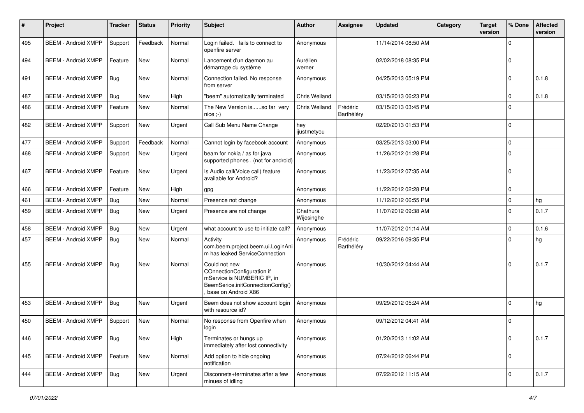| #   | Project                    | <b>Tracker</b> | <b>Status</b> | <b>Priority</b> | Subject                                                                                                                                | <b>Author</b>          | Assignee               | <b>Updated</b>      | Category | <b>Target</b><br>version | % Done      | <b>Affected</b><br>version |
|-----|----------------------------|----------------|---------------|-----------------|----------------------------------------------------------------------------------------------------------------------------------------|------------------------|------------------------|---------------------|----------|--------------------------|-------------|----------------------------|
| 495 | <b>BEEM - Android XMPP</b> | Support        | Feedback      | Normal          | Login failed. fails to connect to<br>openfire server                                                                                   | Anonymous              |                        | 11/14/2014 08:50 AM |          |                          | $\Omega$    |                            |
| 494 | <b>BEEM - Android XMPP</b> | Feature        | <b>New</b>    | Normal          | Lancement d'un daemon au<br>démarrage du système                                                                                       | Aurélien<br>werner     |                        | 02/02/2018 08:35 PM |          |                          | $\mathbf 0$ |                            |
| 491 | <b>BEEM - Android XMPP</b> | Bug            | <b>New</b>    | Normal          | Connection failed. No response<br>from server                                                                                          | Anonymous              |                        | 04/25/2013 05:19 PM |          |                          | $\mathbf 0$ | 0.1.8                      |
| 487 | <b>BEEM - Android XMPP</b> | Bug            | <b>New</b>    | High            | "beem" automatically terminated                                                                                                        | Chris Weiland          |                        | 03/15/2013 06:23 PM |          |                          | $\mathbf 0$ | 0.1.8                      |
| 486 | <b>BEEM - Android XMPP</b> | Feature        | New           | Normal          | The New Version isso far very<br>$nice$ ;-)                                                                                            | Chris Weiland          | Frédéric<br>Barthéléry | 03/15/2013 03:45 PM |          |                          | $\Omega$    |                            |
| 482 | <b>BEEM - Android XMPP</b> | Support        | New           | Urgent          | Call Sub Menu Name Change                                                                                                              | hey<br>ijustmetyou     |                        | 02/20/2013 01:53 PM |          |                          | $\mathbf 0$ |                            |
| 477 | <b>BEEM - Android XMPP</b> | Support        | Feedback      | Normal          | Cannot login by facebook account                                                                                                       | Anonymous              |                        | 03/25/2013 03:00 PM |          |                          | $\mathbf 0$ |                            |
| 468 | <b>BEEM - Android XMPP</b> | Support        | <b>New</b>    | Urgent          | beam for nokia / as for java<br>supported phones . (not for android)                                                                   | Anonymous              |                        | 11/26/2012 01:28 PM |          |                          | $\mathbf 0$ |                            |
| 467 | <b>BEEM - Android XMPP</b> | Feature        | <b>New</b>    | Urgent          | Is Audio call(Voice call) feature<br>available for Android?                                                                            | Anonymous              |                        | 11/23/2012 07:35 AM |          |                          | $\Omega$    |                            |
| 466 | <b>BEEM - Android XMPP</b> | Feature        | <b>New</b>    | High            | gpg                                                                                                                                    | Anonymous              |                        | 11/22/2012 02:28 PM |          |                          | $\mathbf 0$ |                            |
| 461 | <b>BEEM - Android XMPP</b> | <b>Bug</b>     | New           | Normal          | Presence not change                                                                                                                    | Anonymous              |                        | 11/12/2012 06:55 PM |          |                          | $\mathbf 0$ | hg                         |
| 459 | <b>BEEM - Android XMPP</b> | <b>Bug</b>     | New           | Urgent          | Presence are not change                                                                                                                | Chathura<br>Wijesinghe |                        | 11/07/2012 09:38 AM |          |                          | $\Omega$    | 0.1.7                      |
| 458 | <b>BEEM - Android XMPP</b> | <b>Bug</b>     | New           | Urgent          | what account to use to initiate call?                                                                                                  | Anonymous              |                        | 11/07/2012 01:14 AM |          |                          | $\mathbf 0$ | 0.1.6                      |
| 457 | <b>BEEM - Android XMPP</b> | Bug            | New           | Normal          | Activity<br>com.beem.project.beem.ui.LoginAni<br>m has leaked ServiceConnection                                                        | Anonymous              | Frédéric<br>Barthéléry | 09/22/2016 09:35 PM |          |                          | $\Omega$    | hg                         |
| 455 | <b>BEEM - Android XMPP</b> | Bug            | New           | Normal          | Could not new<br>COnnectionConfiguration if<br>mService is NUMBERIC IP, in<br>BeemSerice.initConnectionConfig()<br>base on Android X86 | Anonymous              |                        | 10/30/2012 04:44 AM |          |                          | $\Omega$    | 0.1.7                      |
| 453 | <b>BEEM - Android XMPP</b> | Bug            | New           | Urgent          | Beem does not show account login<br>with resource id?                                                                                  | Anonymous              |                        | 09/29/2012 05:24 AM |          |                          | $\mathbf 0$ | hg                         |
| 450 | <b>BEEM - Android XMPP</b> | Support        | <b>New</b>    | Normal          | No response from Openfire when<br>login                                                                                                | Anonymous              |                        | 09/12/2012 04:41 AM |          |                          | $\mathbf 0$ |                            |
| 446 | <b>BEEM - Android XMPP</b> | <b>Bug</b>     | New           | High            | Terminates or hungs up<br>immediately after lost connectivity                                                                          | Anonymous              |                        | 01/20/2013 11:02 AM |          |                          | $\mathbf 0$ | 0.1.7                      |
| 445 | <b>BEEM - Android XMPP</b> | Feature        | New           | Normal          | Add option to hide ongoing<br>notification                                                                                             | Anonymous              |                        | 07/24/2012 06:44 PM |          |                          | $\mathbf 0$ |                            |
| 444 | <b>BEEM - Android XMPP</b> | Bug            | New           | Urgent          | Disconnets+terminates after a few<br>minues of idling                                                                                  | Anonymous              |                        | 07/22/2012 11:15 AM |          |                          | $\mathbf 0$ | 0.1.7                      |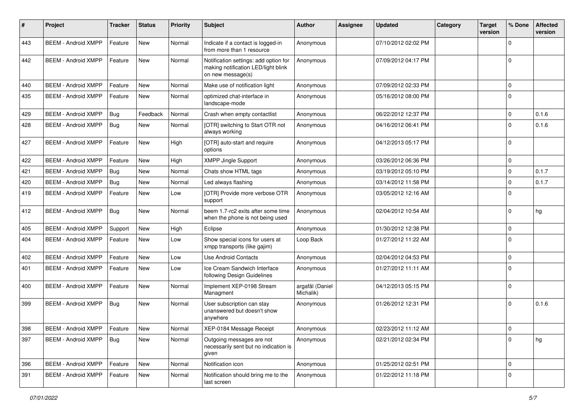| #   | Project                    | <b>Tracker</b> | <b>Status</b> | <b>Priority</b> | <b>Subject</b>                                                                                    | <b>Author</b>                | Assignee | <b>Updated</b>      | Category | <b>Target</b><br>version | % Done      | <b>Affected</b><br>version |
|-----|----------------------------|----------------|---------------|-----------------|---------------------------------------------------------------------------------------------------|------------------------------|----------|---------------------|----------|--------------------------|-------------|----------------------------|
| 443 | <b>BEEM - Android XMPP</b> | Feature        | New           | Normal          | Indicate if a contact is logged-in<br>from more than 1 resource                                   | Anonymous                    |          | 07/10/2012 02:02 PM |          |                          | 0           |                            |
| 442 | <b>BEEM - Android XMPP</b> | Feature        | <b>New</b>    | Normal          | Notification settings: add option for<br>making notification LED/light blink<br>on new message(s) | Anonymous                    |          | 07/09/2012 04:17 PM |          |                          | $\Omega$    |                            |
| 440 | <b>BEEM - Android XMPP</b> | Feature        | <b>New</b>    | Normal          | Make use of notification light                                                                    | Anonymous                    |          | 07/09/2012 02:33 PM |          |                          | $\Omega$    |                            |
| 435 | <b>BEEM - Android XMPP</b> | Feature        | <b>New</b>    | Normal          | optimized chat-interface in<br>landscape-mode                                                     | Anonymous                    |          | 05/16/2012 08:00 PM |          |                          | $\Omega$    |                            |
| 429 | <b>BEEM - Android XMPP</b> | Bug            | Feedback      | Normal          | Crash when empty contactlist                                                                      | Anonymous                    |          | 06/22/2012 12:37 PM |          |                          | $\Omega$    | 0.1.6                      |
| 428 | <b>BEEM - Android XMPP</b> | Bug            | <b>New</b>    | Normal          | [OTR] switching to Start OTR not<br>always working                                                | Anonymous                    |          | 04/16/2012 06:41 PM |          |                          | $\Omega$    | 0.1.6                      |
| 427 | <b>BEEM - Android XMPP</b> | Feature        | <b>New</b>    | High            | [OTR] auto-start and require<br>options                                                           | Anonymous                    |          | 04/12/2013 05:17 PM |          |                          | $\Omega$    |                            |
| 422 | <b>BEEM - Android XMPP</b> | Feature        | <b>New</b>    | High            | <b>XMPP Jingle Support</b>                                                                        | Anonymous                    |          | 03/26/2012 06:36 PM |          |                          | $\Omega$    |                            |
| 421 | <b>BEEM - Android XMPP</b> | Bug            | New           | Normal          | Chats show HTML tags                                                                              | Anonymous                    |          | 03/19/2012 05:10 PM |          |                          | $\mathbf 0$ | 0.1.7                      |
| 420 | <b>BEEM - Android XMPP</b> | Bug            | <b>New</b>    | Normal          | Led always flashing                                                                               | Anonymous                    |          | 03/14/2012 11:58 PM |          |                          | $\Omega$    | 0.1.7                      |
| 419 | <b>BEEM - Android XMPP</b> | Feature        | New           | Low             | [OTR] Provide more verbose OTR<br>support                                                         | Anonymous                    |          | 03/05/2012 12:16 AM |          |                          | $\Omega$    |                            |
| 412 | <b>BEEM - Android XMPP</b> | Bug            | <b>New</b>    | Normal          | beem 1.7-rc2 exits after some time<br>when the phone is not being used                            | Anonymous                    |          | 02/04/2012 10:54 AM |          |                          | $\Omega$    | hg                         |
| 405 | <b>BEEM - Android XMPP</b> | Support        | New           | High            | Eclipse                                                                                           | Anonymous                    |          | 01/30/2012 12:38 PM |          |                          | $\mathbf 0$ |                            |
| 404 | <b>BEEM - Android XMPP</b> | Feature        | New           | Low             | Show special icons for users at<br>xmpp transports (like gajim)                                   | Loop Back                    |          | 01/27/2012 11:22 AM |          |                          | $\Omega$    |                            |
| 402 | <b>BEEM - Android XMPP</b> | Feature        | <b>New</b>    | Low             | Use Android Contacts                                                                              | Anonymous                    |          | 02/04/2012 04:53 PM |          |                          | $\Omega$    |                            |
| 401 | <b>BEEM - Android XMPP</b> | Feature        | New           | Low             | Ice Cream Sandwich Interface<br>following Design Guidelines                                       | Anonymous                    |          | 01/27/2012 11:11 AM |          |                          | $\Omega$    |                            |
| 400 | <b>BEEM - Android XMPP</b> | Feature        | <b>New</b>    | Normal          | Implement XEP-0198 Stream<br>Managment                                                            | argafål (Daniel<br>Michalik) |          | 04/12/2013 05:15 PM |          |                          | $\Omega$    |                            |
| 399 | <b>BEEM - Android XMPP</b> | <b>Bug</b>     | <b>New</b>    | Normal          | User subscription can stay<br>unanswered but doesn't show<br>anywhere                             | Anonymous                    |          | 01/26/2012 12:31 PM |          |                          | $\Omega$    | 0.1.6                      |
| 398 | <b>BEEM - Android XMPP</b> | Feature        | <b>New</b>    | Normal          | XEP-0184 Message Receipt                                                                          | Anonymous                    |          | 02/23/2012 11:12 AM |          |                          | $\Omega$    |                            |
| 397 | <b>BEEM - Android XMPP</b> | <b>Bug</b>     | New           | Normal          | Outgoing messages are not<br>necessarily sent but no indication is<br>given                       | Anonymous                    |          | 02/21/2012 02:34 PM |          |                          | $\Omega$    | hg                         |
| 396 | <b>BEEM - Android XMPP</b> | Feature        | New           | Normal          | Notification icon                                                                                 | Anonymous                    |          | 01/25/2012 02:51 PM |          |                          | $\mathbf 0$ |                            |
| 391 | <b>BEEM - Android XMPP</b> | Feature        | New           | Normal          | Notification should bring me to the<br>last screen                                                | Anonymous                    |          | 01/22/2012 11:18 PM |          |                          | 0           |                            |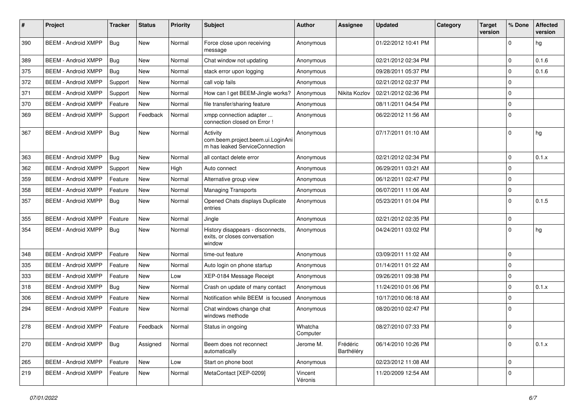| $\#$ | Project                    | <b>Tracker</b> | <b>Status</b> | <b>Priority</b> | Subject                                                                         | <b>Author</b>       | <b>Assignee</b>        | <b>Updated</b>      | Category | <b>Target</b><br>version | % Done      | <b>Affected</b><br>version |
|------|----------------------------|----------------|---------------|-----------------|---------------------------------------------------------------------------------|---------------------|------------------------|---------------------|----------|--------------------------|-------------|----------------------------|
| 390  | <b>BEEM - Android XMPP</b> | Bug            | <b>New</b>    | Normal          | Force close upon receiving<br>message                                           | Anonymous           |                        | 01/22/2012 10:41 PM |          |                          | $\mathbf 0$ | hg                         |
| 389  | <b>BEEM - Android XMPP</b> | Bug            | New           | Normal          | Chat window not updating                                                        | Anonymous           |                        | 02/21/2012 02:34 PM |          |                          | $\Omega$    | 0.1.6                      |
| 375  | <b>BEEM - Android XMPP</b> | Bug            | <b>New</b>    | Normal          | stack error upon logging                                                        | Anonymous           |                        | 09/28/2011 05:37 PM |          |                          | $\Omega$    | 0.1.6                      |
| 372  | <b>BEEM - Android XMPP</b> | Support        | New           | Normal          | call voip fails                                                                 | Anonymous           |                        | 02/21/2012 02:37 PM |          |                          | $\mathbf 0$ |                            |
| 371  | <b>BEEM - Android XMPP</b> | Support        | <b>New</b>    | Normal          | How can I get BEEM-Jingle works?                                                | Anonymous           | Nikita Kozlov          | 02/21/2012 02:36 PM |          |                          | $\mathbf 0$ |                            |
| 370  | <b>BEEM - Android XMPP</b> | Feature        | <b>New</b>    | Normal          | file transfer/sharing feature                                                   | Anonymous           |                        | 08/11/2011 04:54 PM |          |                          | $\mathbf 0$ |                            |
| 369  | <b>BEEM - Android XMPP</b> | Support        | Feedback      | Normal          | xmpp connection adapter<br>connection closed on Error !                         | Anonymous           |                        | 06/22/2012 11:56 AM |          |                          | $\Omega$    |                            |
| 367  | <b>BEEM - Android XMPP</b> | Bug            | <b>New</b>    | Normal          | Activity<br>com.beem.project.beem.ui.LoginAni<br>m has leaked ServiceConnection | Anonymous           |                        | 07/17/2011 01:10 AM |          |                          | $\Omega$    | hg                         |
| 363  | <b>BEEM - Android XMPP</b> | Bug            | <b>New</b>    | Normal          | all contact delete error                                                        | Anonymous           |                        | 02/21/2012 02:34 PM |          |                          | $\mathbf 0$ | 0.1.x                      |
| 362  | <b>BEEM - Android XMPP</b> | Support        | New           | High            | Auto connect                                                                    | Anonymous           |                        | 06/29/2011 03:21 AM |          |                          | $\Omega$    |                            |
| 359  | <b>BEEM - Android XMPP</b> | Feature        | <b>New</b>    | Normal          | Alternative group view                                                          | Anonymous           |                        | 06/12/2011 02:47 PM |          |                          | $\mathbf 0$ |                            |
| 358  | <b>BEEM - Android XMPP</b> | Feature        | <b>New</b>    | Normal          | Managing Transports                                                             | Anonymous           |                        | 06/07/2011 11:06 AM |          |                          | $\mathbf 0$ |                            |
| 357  | <b>BEEM - Android XMPP</b> | Bug            | New           | Normal          | Opened Chats displays Duplicate<br>entries                                      | Anonymous           |                        | 05/23/2011 01:04 PM |          |                          | $\Omega$    | 0.1.5                      |
| 355  | <b>BEEM - Android XMPP</b> | Feature        | <b>New</b>    | Normal          | Jingle                                                                          | Anonymous           |                        | 02/21/2012 02:35 PM |          |                          | $\mathbf 0$ |                            |
| 354  | <b>BEEM - Android XMPP</b> | <b>Bug</b>     | New           | Normal          | History disappears - disconnects,<br>exits, or closes conversation<br>window    | Anonymous           |                        | 04/24/2011 03:02 PM |          |                          | $\Omega$    | hg                         |
| 348  | <b>BEEM - Android XMPP</b> | Feature        | <b>New</b>    | Normal          | time-out feature                                                                | Anonymous           |                        | 03/09/2011 11:02 AM |          |                          | $\mathbf 0$ |                            |
| 335  | <b>BEEM - Android XMPP</b> | Feature        | <b>New</b>    | Normal          | Auto login on phone startup                                                     | Anonymous           |                        | 01/14/2011 01:22 AM |          |                          | $\mathbf 0$ |                            |
| 333  | <b>BEEM - Android XMPP</b> | Feature        | <b>New</b>    | Low             | XEP-0184 Message Receipt                                                        | Anonymous           |                        | 09/26/2011 09:38 PM |          |                          | $\mathbf 0$ |                            |
| 318  | <b>BEEM - Android XMPP</b> | <b>Bug</b>     | New           | Normal          | Crash on update of many contact                                                 | Anonymous           |                        | 11/24/2010 01:06 PM |          |                          | $\mathbf 0$ | 0.1.x                      |
| 306  | <b>BEEM - Android XMPP</b> | Feature        | New           | Normal          | Notification while BEEM is focused                                              | Anonymous           |                        | 10/17/2010 06:18 AM |          |                          | $\mathbf 0$ |                            |
| 294  | <b>BEEM - Android XMPP</b> | Feature        | New           | Normal          | Chat windows change chat<br>windows methode                                     | Anonymous           |                        | 08/20/2010 02:47 PM |          |                          | $\Omega$    |                            |
| 278  | <b>BEEM - Android XMPP</b> | Feature        | Feedback      | Normal          | Status in ongoing                                                               | Whatcha<br>Computer |                        | 08/27/2010 07:33 PM |          |                          | $\mathbf 0$ |                            |
| 270  | <b>BEEM - Android XMPP</b> | Bug            | Assigned      | Normal          | Beem does not reconnect<br>automatically                                        | Jerome M.           | Frédéric<br>Barthéléry | 06/14/2010 10:26 PM |          |                          | $\mathbf 0$ | 0.1.x                      |
| 265  | <b>BEEM - Android XMPP</b> | Feature        | New           | Low             | Start on phone boot                                                             | Anonymous           |                        | 02/23/2012 11:08 AM |          |                          | $\mathbf 0$ |                            |
| 219  | <b>BEEM - Android XMPP</b> | Feature        | New           | Normal          | MetaContact [XEP-0209]                                                          | Vincent<br>Véronis  |                        | 11/20/2009 12:54 AM |          |                          | $\mathbf 0$ |                            |